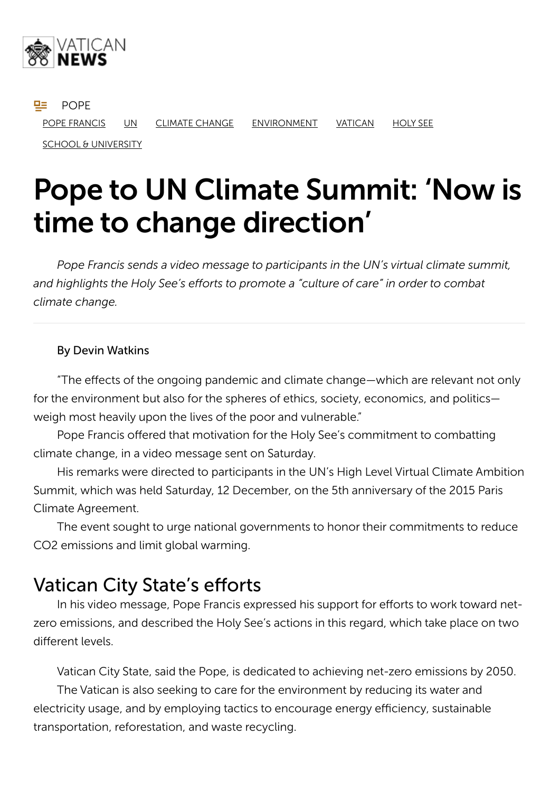

**POPE** POPE FRANCIS UN CLIMATE CHANGE ENVIRONMENT VATICAN HOLY SEE

SCHOOL & UNIVERSITY

# Pope to UN Climate Summit: 'Now is time to change direction'

*Pope Francis sends a video message to participants in the UN's virtual climate summit, and highlights the Holy See's efforts to promote a "culture of care" in order to combat climate change.*

#### By Devin Watkins

"The effects of the ongoing pandemic and climate change—which are relevant not only for the environment but also for the spheres of ethics, society, economics, and politics weigh most heavily upon the lives of the poor and vulnerable."

Pope Francis offered that motivation for the Holy See's commitment to combatting climate change, in a video message sent on Saturday.

His remarks were directed to participants in the UN's High Level Virtual Climate Ambition Summit, which was held Saturday, 12 December, on the 5th anniversary of the 2015 Paris Climate Agreement.

The event sought to urge national governments to honor their commitments to reduce CO2 emissions and limit global warming.

#### Vatican City State's efforts

In his video message, Pope Francis expressed his support for efforts to work toward netzero emissions, and described the Holy See's actions in this regard, which take place on two different levels.

Vatican City State, said the Pope, is dedicated to achieving net-zero emissions by 2050. The Vatican is also seeking to care for the environment by reducing its water and electricity usage, and by employing tactics to encourage energy efficiency, sustainable transportation, reforestation, and waste recycling.